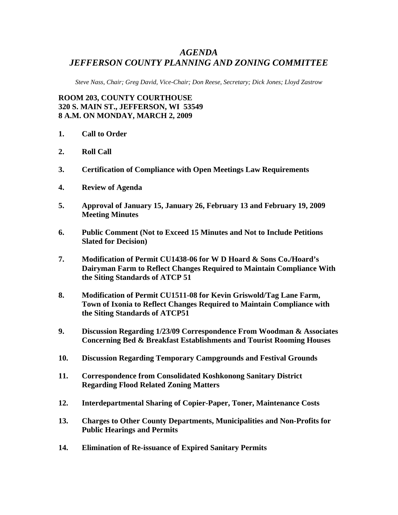## *AGENDA JEFFERSON COUNTY PLANNING AND ZONING COMMITTEE*

*Steve Nass, Chair; Greg David, Vice-Chair; Don Reese, Secretary; Dick Jones; Lloyd Zastrow* 

**ROOM 203, COUNTY COURTHOUSE 320 S. MAIN ST., JEFFERSON, WI 53549 8 A.M. ON MONDAY, MARCH 2, 2009** 

- **1. Call to Order**
- **2. Roll Call**
- **3. Certification of Compliance with Open Meetings Law Requirements**
- **4. Review of Agenda**
- **5. Approval of January 15, January 26, February 13 and February 19, 2009 Meeting Minutes**
- **6. Public Comment (Not to Exceed 15 Minutes and Not to Include Petitions Slated for Decision)**
- **7. Modification of Permit CU1438-06 for W D Hoard & Sons Co./Hoard's Dairyman Farm to Reflect Changes Required to Maintain Compliance With the Siting Standards of ATCP 51**
- **8. Modification of Permit CU1511-08 for Kevin Griswold/Tag Lane Farm, Town of Ixonia to Reflect Changes Required to Maintain Compliance with the Siting Standards of ATCP51**
- **9. Discussion Regarding 1/23/09 Correspondence From Woodman & Associates Concerning Bed & Breakfast Establishments and Tourist Rooming Houses**
- **10. Discussion Regarding Temporary Campgrounds and Festival Grounds**
- **11. Correspondence from Consolidated Koshkonong Sanitary District Regarding Flood Related Zoning Matters**
- **12. Interdepartmental Sharing of Copier-Paper, Toner, Maintenance Costs**
- **13. Charges to Other County Departments, Municipalities and Non-Profits for Public Hearings and Permits**
- **14. Elimination of Re-issuance of Expired Sanitary Permits**